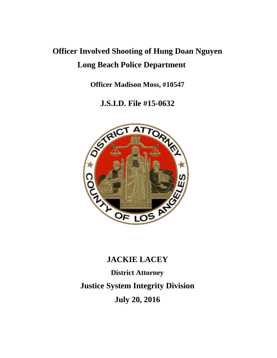# **Officer Involved Shooting of Hung Doan Nguyen Long Beach Police Department**

**Officer Madison Moss, #10547**

**J.S.I.D. File #15-0632**



# **JACKIE LACEY**

**District Attorney Justice System Integrity Division July 20, 2016**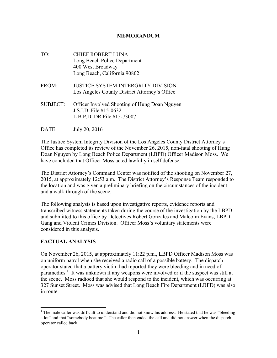#### **MEMORANDUM**

- TO: CHIEF ROBERT LUNA Long Beach Police Department 400 West Broadway Long Beach, California 90802
- FROM: JUSTICE SYSTEM INTERGRITY DIVISION Los Angeles County District Attorney's Office
- SUBJECT: Officer Involved Shooting of Hung Doan Nguyen J.S.I.D. File #15-0632 L.B.P.D. DR File #15-73007
- DATE: July 20, 2016

The Justice System Integrity Division of the Los Angeles County District Attorney's Office has completed its review of the November 26, 2015, non-fatal shooting of Hung Doan Nguyen by Long Beach Police Department (LBPD) Officer Madison Moss. We have concluded that Officer Moss acted lawfully in self defense.

The District Attorney's Command Center was notified of the shooting on November 27, 2015, at approximately 12:53 a.m. The District Attorney's Response Team responded to the location and was given a preliminary briefing on the circumstances of the incident and a walk-through of the scene.

The following analysis is based upon investigative reports, evidence reports and transcribed witness statements taken during the course of the investigation by the LBPD and submitted to this office by Detectives Robert Gonzales and Malcolm Evans, LBPD Gang and Violent Crimes Division. Officer Moss's voluntary statements were considered in this analysis.

#### **FACTUAL ANALYSIS**

On November 26, 2015, at approximately 11:22 p.m., LBPD Officer Madison Moss was on uniform patrol when she received a radio call of a possible battery. The dispatch operator stated that a battery victim had reported they were bleeding and in need of paramedics.<sup>1</sup> It was unknown if any weapons were involved or if the suspect was still at the scene. Moss radioed that she would respond to the incident, which was occurring at 327 Sunset Street. Moss was advised that Long Beach Fire Department (LBFD) was also in route.

 $<sup>1</sup>$  The male caller was difficult to understand and did not know his address. He stated that he was "bleeding"</sup> a lot" and that "somebody beat me." The caller then ended the call and did not answer when the dispatch operator called back.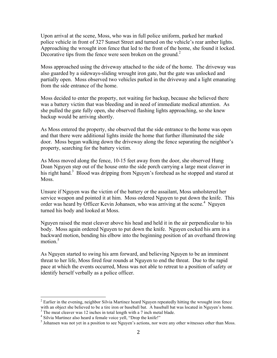Upon arrival at the scene, Moss, who was in full police uniform, parked her marked police vehicle in front of 327 Sunset Street and turned on the vehicle's rear amber lights. Approaching the wrought iron fence that led to the front of the home, she found it locked. Decorative tips from the fence were seen broken on the ground.<sup>2</sup>

Moss approached using the driveway attached to the side of the home. The driveway was also guarded by a sideways-sliding wrought iron gate, but the gate was unlocked and partially open. Moss observed two vehicles parked in the driveway and a light emanating from the side entrance of the home.

Moss decided to enter the property, not waiting for backup, because she believed there was a battery victim that was bleeding and in need of immediate medical attention. As she pulled the gate fully open, she observed flashing lights approaching, so she knew backup would be arriving shortly.

As Moss entered the property, she observed that the side entrance to the home was open and that there were additional lights inside the home that further illuminated the side door. Moss began walking down the driveway along the fence separating the neighbor's property, searching for the battery victim.

As Moss moved along the fence, 10-15 feet away from the door, she observed Hung Doan Nguyen step out of the house onto the side porch carrying a large meat cleaver in his right hand.<sup>3</sup> Blood was dripping from Nguyen's forehead as he stopped and stared at **Moss** 

Unsure if Nguyen was the victim of the battery or the assailant, Moss unholstered her service weapon and pointed it at him. Moss ordered Nguyen to put down the knife. This order was heard by Officer Kevin Johansen, who was arriving at the scene.<sup>4</sup> Nguyen turned his body and looked at Moss.

Nguyen raised the meat cleaver above his head and held it in the air perpendicular to his body. Moss again ordered Nguyen to put down the knife. Nguyen cocked his arm in a backward motion, bending his elbow into the beginning position of an overhand throwing motion. $5$ 

As Nguyen started to swing his arm forward, and believing Nguyen to be an imminent threat to her life, Moss fired four rounds at Nguyen to end the threat. Due to the rapid pace at which the events occurred, Moss was not able to retreat to a position of safety or identify herself verbally as a police officer.

<sup>&</sup>lt;sup>2</sup> Earlier in the evening, neighbor Silvia Martinez heard Nguyen repeatedly hitting the wrought iron fence with an object she believed to be a tire iron or baseball bat. A baseball bat was located in Nguyen's home.<br><sup>3</sup> The meat cleaver was 12 inches in total length with a 7 inch metal blade.<br><sup>4</sup> Silvia Martinez also heard a fem

 $<sup>5</sup>$  Johansen was not yet in a position to see Nguyen's actions, nor were any other witnesses other than Moss.</sup>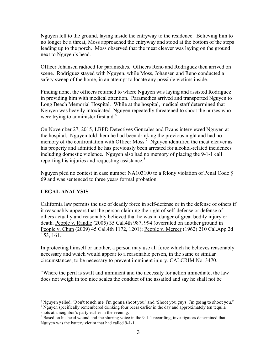Nguyen fell to the ground, laying inside the entryway to the residence. Believing him to no longer be a threat, Moss approached the entryway and stood at the bottom of the steps leading up to the porch. Moss observed that the meat cleaver was laying on the ground next to Nguyen's head.

Officer Johansen radioed for paramedics. Officers Reno and Rodriguez then arrived on scene. Rodriguez stayed with Nguyen, while Moss, Johansen and Reno conducted a safety sweep of the home, in an attempt to locate any possible victims inside.

Finding none, the officers returned to where Nguyen was laying and assisted Rodriguez in providing him with medical attention. Paramedics arrived and transported Nguyen to Long Beach Memorial Hospital. While at the hospital, medical staff determined that Nguyen was heavily intoxicated. Nguyen repeatedly threatened to shoot the nurses who were trying to administer first aid. $<sup>6</sup>$ </sup>

On November 27, 2015, LBPD Detectives Gonzales and Evans interviewed Nguyen at the hospital. Nguyen told them he had been drinking the previous night and had no memory of the confrontation with Officer Moss.<sup>7</sup> Nguyen identified the meat cleaver as his property and admitted he has previously been arrested for alcohol-related incidences including domestic violence. Nguyen also had no memory of placing the 9-1-1 call reporting his injuries and requesting assistance.<sup>8</sup>

Nguyen pled no contest in case number NA103100 to a felony violation of Penal Code § 69 and was sentenced to three years formal probation.

## **LEGAL ANALYSIS**

 

California law permits the use of deadly force in self-defense or in the defense of others if it reasonably appears that the person claiming the right of self-defense or defense of others actually and reasonably believed that he was in danger of great bodily injury or death. People v. Randle (2005) 35 Cal.4th 987, 994 (overruled on another ground in People v. Chun (2009) 45 Cal.4th 1172, 1201); People v. Mercer (1962) 210 Cal.App.2d 153, 161.

In protecting himself or another, a person may use all force which he believes reasonably necessary and which would appear to a reasonable person, in the same or similar circumstances, to be necessary to prevent imminent injury. CALCRIM No. 3470.

"Where the peril is swift and imminent and the necessity for action immediate, the law does not weigh in too nice scales the conduct of the assailed and say he shall not be

<sup>&</sup>lt;sup>6</sup> Nguyen yelled, "Don't touch me, I'm gonna shoot you" and "Shoot you guys. I'm going to shoot you."  $\frac{7}{1}$  Nguyen specifically remembered drinking four beers earlier in the day and approximately ten tequila shots at a neighbor's party earlier in the evening.

<sup>&</sup>lt;sup>8</sup> Based on his head wound and the slurring voice in the 9-1-1 recording, investigators determined that Nguyen was the battery victim that had called 9-1-1.